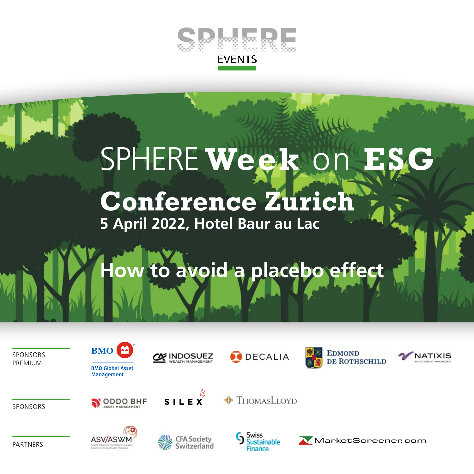

# SPHERE Week on

### **Conference Zurich 5 April 2022, Hotel Baur au Lac**

## ow to avoid a placebo effect

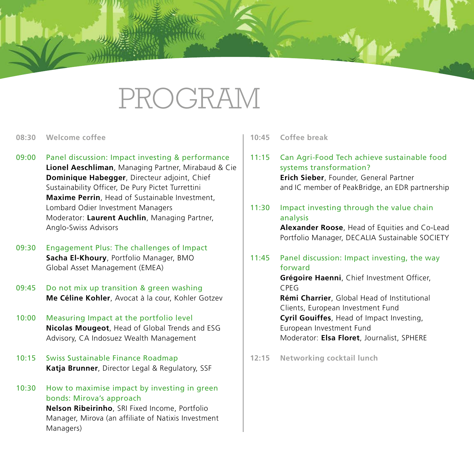### PROGRAM

- **08:30 Welcome coffee**
- 09:00 Panel discussion: Impact investing & performance **Lionel Aeschliman**, Managing Partner, Mirabaud & Cie **Dominique Habegger**, Directeur adjoint, Chief Sustainability Officer, De Pury Pictet Turrettini **Maxime Perrin**, Head of Sustainable Investment, Lombard Odier Investment Managers Moderator: **Laurent Auchlin**, Managing Partner, Anglo-Swiss Advisors
- 09:30 Engagement Plus: The challenges of Impact **Sacha El-Khoury**, Portfolio Manager, BMO Global Asset Management (EMEA)
- 09:45 Do not mix up transition & green washing **Me Céline Kohler**, Avocat à la cour, Kohler Gotzev
- 10:00 Measuring Impact at the portfolio level **Nicolas Mougeot**, Head of Global Trends and ESG Advisory, CA Indosuez Wealth Management
- 10:15 Swiss Sustainable Finance Roadmap **Katja Brunner**, Director Legal & Regulatory, SSF
- 10:30 How to maximise impact by investing in green bonds: Mirova's approach **Nelson Ribeirinho**, SRI Fixed Income, Portfolio Manager, Mirova (an affiliate of Natixis Investment Managers)

**10:45 Coffee break**

- 11:15 Can Agri-Food Tech achieve sustainable food systems transformation? **Erich Sieber**, Founder, General Partner and IC member of PeakBridge, an EDR partnership
- 11:30 Impact investing through the value chain analysis

**Alexander Roose**, Head of Equities and Co-Lead Portfolio Manager, DECALIA Sustainable SOCIETY

11:45 Panel discussion: Impact investing, the way forward

**Grégoire Haenni**, Chief Investment Officer, CPEG

**Rémi Charrier**, Global Head of Institutional Clients, European Investment Fund **Cyril Gouiffes**, Head of Impact Investing, European Investment Fund Moderator: **Elsa Floret**, Journalist, SPHERE

**12:15 Networking cocktail lunch**